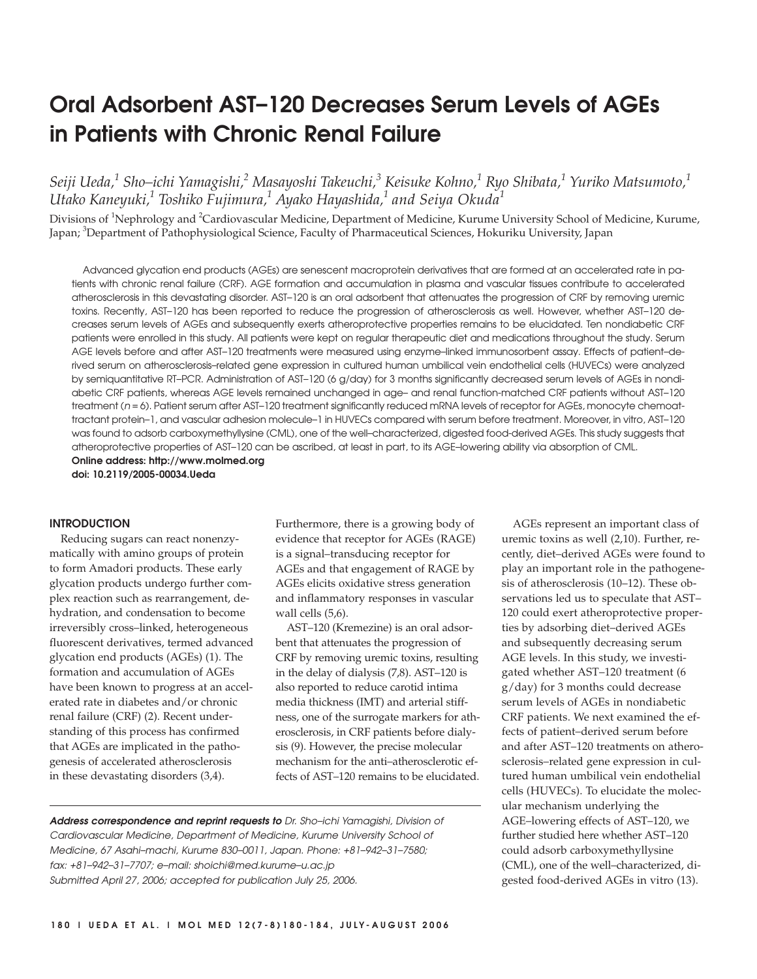# **Oral Adsorbent AST–120 Decreases Serum Levels of AGEs in Patients with Chronic Renal Failure**

*Seiji Ueda,1 Sho–ichi Yamagishi,<sup>2</sup> Masayoshi Takeuchi,3 Keisuke Kohno,<sup>1</sup> Ryo Shibata,1 Yuriko Matsumoto,1 Utako Kaneyuki,1 Toshiko Fujimura,1 Ayako Hayashida,<sup>1</sup> and Seiya Okuda<sup>1</sup>*

Divisions of <sup>1</sup>Nephrology and <sup>2</sup>Cardiovascular Medicine, Department of Medicine, Kurume University School of Medicine, Kurume, Japan; <sup>3</sup>Department of Pathophysiological Science, Faculty of Pharmaceutical Sciences, Hokuriku University, Japan

Advanced glycation end products (AGEs) are senescent macroprotein derivatives that are formed at an accelerated rate in patients with chronic renal failure (CRF). AGE formation and accumulation in plasma and vascular tissues contribute to accelerated atherosclerosis in this devastating disorder. AST–120 is an oral adsorbent that attenuates the progression of CRF by removing uremic toxins. Recently, AST–120 has been reported to reduce the progression of atherosclerosis as well. However, whether AST–120 decreases serum levels of AGEs and subsequently exerts atheroprotective properties remains to be elucidated. Ten nondiabetic CRF patients were enrolled in this study. All patients were kept on regular therapeutic diet and medications throughout the study. Serum AGE levels before and after AST–120 treatments were measured using enzyme–linked immunosorbent assay. Effects of patient–derived serum on atherosclerosis–related gene expression in cultured human umbilical vein endothelial cells (HUVECs) were analyzed by semiquantitative RT–PCR. Administration of AST–120 (6 g/day) for 3 months significantly decreased serum levels of AGEs in nondiabetic CRF patients, whereas AGE levels remained unchanged in age– and renal function-matched CRF patients without AST–120 treatment (n = 6). Patient serum after AST-120 treatment significantly reduced mRNA levels of receptor for AGEs, monocyte chemoattractant protein–1, and vascular adhesion molecule–1 in HUVECs compared with serum before treatment. Moreover, in vitro, AST–120 was found to adsorb carboxymethyllysine (CML), one of the well–characterized, digested food-derived AGEs. This study suggests that atheroprotective properties of AST–120 can be ascribed, at least in part, to its AGE–lowering ability via absorption of CML. **Online address: http://www.molmed.org**

**doi: 10.2119/2005-00034.Ueda**

# **INTRODUCTION**

Reducing sugars can react nonenzymatically with amino groups of protein to form Amadori products. These early glycation products undergo further complex reaction such as rearrangement, dehydration, and condensation to become irreversibly cross–linked, heterogeneous fluorescent derivatives, termed advanced glycation end products (AGEs) (1). The formation and accumulation of AGEs have been known to progress at an accelerated rate in diabetes and/or chronic renal failure (CRF) (2). Recent understanding of this process has confirmed that AGEs are implicated in the pathogenesis of accelerated atherosclerosis in these devastating disorders (3,4).

Furthermore, there is a growing body of evidence that receptor for AGEs (RAGE) is a signal–transducing receptor for AGEs and that engagement of RAGE by AGEs elicits oxidative stress generation and inflammatory responses in vascular wall cells (5,6).

AST–120 (Kremezine) is an oral adsorbent that attenuates the progression of CRF by removing uremic toxins, resulting in the delay of dialysis (7,8). AST–120 is also reported to reduce carotid intima media thickness (IMT) and arterial stiffness, one of the surrogate markers for atherosclerosis, in CRF patients before dialysis (9). However, the precise molecular mechanism for the anti–atherosclerotic effects of AST–120 remains to be elucidated.

**Address correspondence and reprint requests to** Dr. Sho–ichi Yamagishi, Division of Cardiovascular Medicine, Department of Medicine, Kurume University School of Medicine, 67 Asahi–machi, Kurume 830–0011, Japan. Phone: +81–942–31–7580; fax: +81–942–31–7707; e–mail: shoichi@med.kurume–u.ac.jp Submitted April 27, 2006; accepted for publication July 25, 2006.

AGEs represent an important class of uremic toxins as well (2,10). Further, recently, diet–derived AGEs were found to play an important role in the pathogenesis of atherosclerosis (10–12). These observations led us to speculate that AST– 120 could exert atheroprotective properties by adsorbing diet–derived AGEs and subsequently decreasing serum AGE levels. In this study, we investigated whether AST–120 treatment (6 g/day) for 3 months could decrease serum levels of AGEs in nondiabetic CRF patients. We next examined the effects of patient–derived serum before and after AST–120 treatments on atherosclerosis–related gene expression in cultured human umbilical vein endothelial cells (HUVECs). To elucidate the molecular mechanism underlying the AGE–lowering effects of AST–120, we further studied here whether AST–120 could adsorb carboxymethyllysine (CML), one of the well–characterized, digested food-derived AGEs in vitro (13).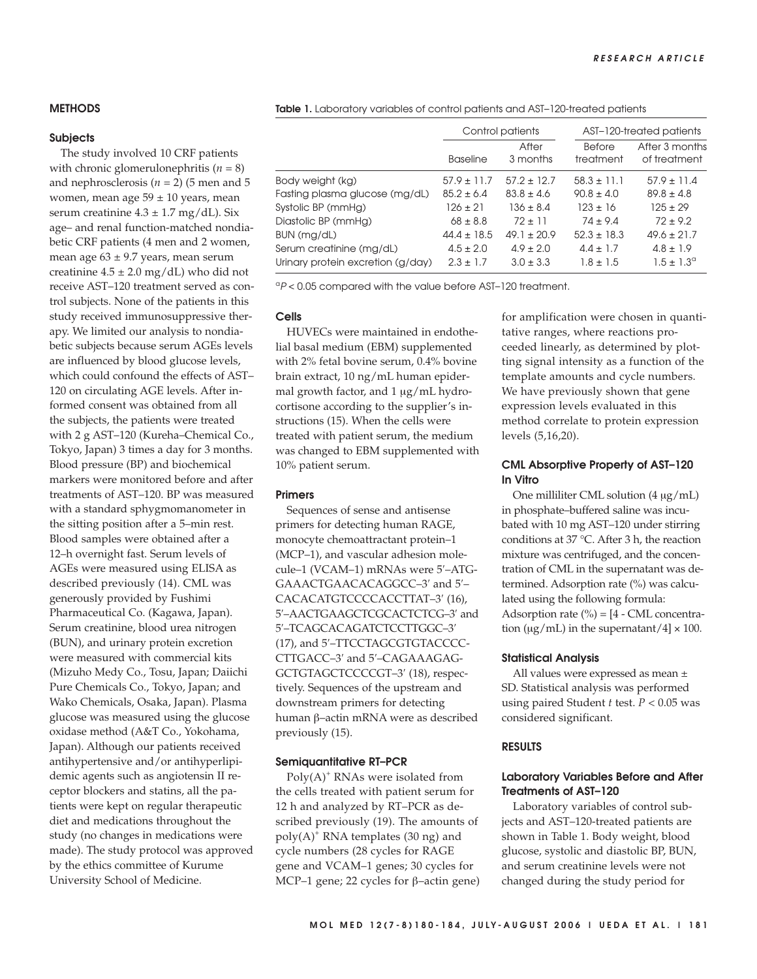# **METHODS**

## **Subjects**

The study involved 10 CRF patients with chronic glomerulonephritis (*n* = 8) and nephrosclerosis ( $n = 2$ ) (5 men and 5 women, mean age  $59 \pm 10$  years, mean serum creatinine  $4.3 \pm 1.7$  mg/dL). Six age– and renal function-matched nondiabetic CRF patients (4 men and 2 women, mean age  $63 \pm 9.7$  years, mean serum creatinine  $4.5 \pm 2.0$  mg/dL) who did not receive AST–120 treatment served as control subjects. None of the patients in this study received immunosuppressive therapy. We limited our analysis to nondiabetic subjects because serum AGEs levels are influenced by blood glucose levels, which could confound the effects of AST– 120 on circulating AGE levels. After informed consent was obtained from all the subjects, the patients were treated with 2 g AST–120 (Kureha–Chemical Co., Tokyo, Japan) 3 times a day for 3 months. Blood pressure (BP) and biochemical markers were monitored before and after treatments of AST–120. BP was measured with a standard sphygmomanometer in the sitting position after a 5–min rest. Blood samples were obtained after a 12–h overnight fast. Serum levels of AGEs were measured using ELISA as described previously (14). CML was generously provided by Fushimi Pharmaceutical Co. (Kagawa, Japan). Serum creatinine, blood urea nitrogen (BUN), and urinary protein excretion were measured with commercial kits (Mizuho Medy Co., Tosu, Japan; Daiichi Pure Chemicals Co., Tokyo, Japan; and Wako Chemicals, Osaka, Japan). Plasma glucose was measured using the glucose oxidase method (A&T Co., Yokohama, Japan). Although our patients received antihypertensive and/or antihyperlipidemic agents such as angiotensin II receptor blockers and statins, all the patients were kept on regular therapeutic diet and medications throughout the study (no changes in medications were made). The study protocol was approved by the ethics committee of Kurume University School of Medicine.

Table 1. Laboratory variables of control patients and AST-120-treated patients

|                                   | Control patients |                   | AST-120-treated patients   |                                |
|-----------------------------------|------------------|-------------------|----------------------------|--------------------------------|
|                                   | <b>Baseline</b>  | After<br>3 months | <b>Before</b><br>treatment | After 3 months<br>of treatment |
| Body weight (kg)                  | $57.9 \pm 11.7$  | $57.2 + 12.7$     | $58.3 \pm 11.1$            | $57.9 \pm 11.4$                |
| Fasting plasma glucose (mg/dL)    | $85.2 \pm 6.4$   | $83.8 \pm 4.6$    | $90.8 \pm 4.0$             | $89.8 \pm 4.8$                 |
| Systolic BP (mmHg)                | $126 + 21$       | $136 + 8.4$       | $123 \pm 16$               | $125 \pm 29$                   |
| Diastolic BP (mmHg)               | $68 \pm 8.8$     | $72 + 11$         | $74 + 94$                  | $72 \pm 9.2$                   |
| BUN (mg/dL)                       | $44.4 \pm 18.5$  | $49.1 + 20.9$     | $52.3 \pm 18.3$            | $49.6 \pm 21.7$                |
| Serum creatinine (mg/dL)          | $4.5 \pm 2.0$    | $4.9 + 2.0$       | $4.4 \pm 1.7$              | $4.8 \pm 1.9$                  |
| Urinary protein excretion (g/day) | $2.3 + 1.7$      | $3.0 \pm 3.3$     | $1.8 \pm 1.5$              | $1.5 \pm 1.3^{\circ}$          |

 $P$  < 0.05 compared with the value before AST-120 treatment.

#### **Cells**

HUVECs were maintained in endothelial basal medium (EBM) supplemented with 2% fetal bovine serum, 0.4% bovine brain extract, 10 ng/mL human epidermal growth factor, and 1 μg/mL hydrocortisone according to the supplier's instructions (15). When the cells were treated with patient serum, the medium was changed to EBM supplemented with 10% patient serum.

#### **Primers**

Sequences of sense and antisense primers for detecting human RAGE, monocyte chemoattractant protein–1 (MCP–1), and vascular adhesion molecule–1 (VCAM–1) mRNAs were 5′–ATG-GAAACTGAACACAGGCC–3′ and 5′– CACACATGTCCCCACCTTAT–3′ (16), 5′–AACTGAAGCTCGCACTCTCG–3′ and 5′–TCAGCACAGATCTCCTTGGC–3′ (17), and 5′–TTCCTAGCGTGTACCCC-CTTGACC–3′ and 5′–CAGAAAGAG-GCTGTAGCTCCCCGT–3′ (18), respectively. Sequences of the upstream and downstream primers for detecting human β–actin mRNA were as described previously (15).

## **Semiquantitative RT–PCR**

 $Poly(A)^+$  RNAs were isolated from the cells treated with patient serum for 12 h and analyzed by RT–PCR as described previously (19). The amounts of poly(A)<sup>+</sup> RNA templates (30 ng) and cycle numbers (28 cycles for RAGE gene and VCAM–1 genes; 30 cycles for MCP–1 gene; 22 cycles for β–actin gene) for amplification were chosen in quantitative ranges, where reactions proceeded linearly, as determined by plotting signal intensity as a function of the template amounts and cycle numbers. We have previously shown that gene expression levels evaluated in this method correlate to protein expression levels (5,16,20).

# **CML Absorptive Property of AST–120 In Vitro**

One milliliter CML solution (4 μg/mL) in phosphate–buffered saline was incubated with 10 mg AST–120 under stirring conditions at 37 °C. After 3 h, the reaction mixture was centrifuged, and the concentration of CML in the supernatant was determined. Adsorption rate (%) was calculated using the following formula: Adsorption rate  $\left(\frac{\%}{\%}\right) = [4 - CML$  concentration ( $\mu$ g/mL) in the supernatant/4]  $\times$  100.

## **Statistical Analysis**

All values were expressed as mean ± SD. Statistical analysis was performed using paired Student *t* test. *P* < 0.05 was considered significant.

## **RESULTS**

# **Laboratory Variables Before and After Treatments of AST–120**

Laboratory variables of control subjects and AST–120-treated patients are shown in Table 1. Body weight, blood glucose, systolic and diastolic BP, BUN, and serum creatinine levels were not changed during the study period for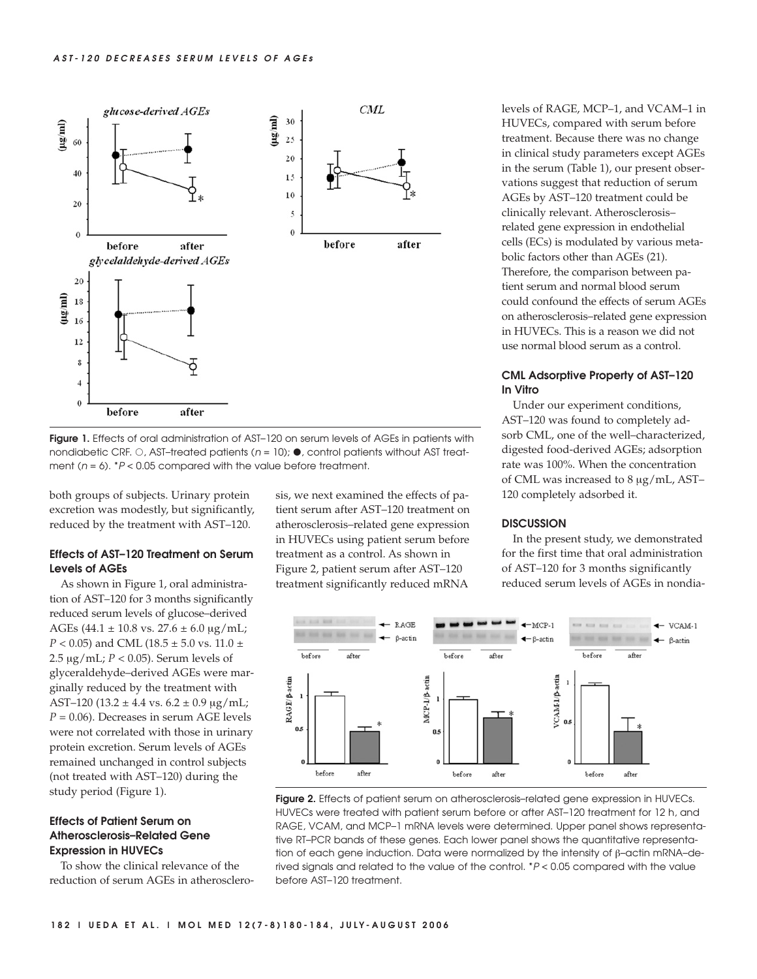

**Figure 1.** Effects of oral administration of AST-120 on serum levels of AGEs in patients with nondiabetic CRF.  $\circ$  , AST–treated patients (n = 10);  $\bullet$  , control patients without AST treatment ( $n = 6$ ).  $*P < 0.05$  compared with the value before treatment.

both groups of subjects. Urinary protein excretion was modestly, but significantly, reduced by the treatment with AST–120.

# **Effects of AST–120 Treatment on Serum Levels of AGEs**

As shown in Figure 1, oral administration of AST–120 for 3 months significantly reduced serum levels of glucose–derived AGEs (44.1  $\pm$  10.8 vs. 27.6  $\pm$  6.0 µg/mL; *P* < 0.05) and CML (18.5 ± 5.0 vs. 11.0 ± 2.5 μg/mL; *P* < 0.05). Serum levels of glyceraldehyde–derived AGEs were marginally reduced by the treatment with AST-120 (13.2  $\pm$  4.4 vs. 6.2  $\pm$  0.9  $\mu$ g/mL; *P* = 0.06). Decreases in serum AGE levels were not correlated with those in urinary protein excretion. Serum levels of AGEs remained unchanged in control subjects (not treated with AST–120) during the study period (Figure 1).

# **Effects of Patient Serum on Atherosclerosis–Related Gene Expression in HUVECs**

To show the clinical relevance of the reduction of serum AGEs in atherosclerosis, we next examined the effects of patient serum after AST–120 treatment on atherosclerosis–related gene expression in HUVECs using patient serum before treatment as a control. As shown in Figure 2, patient serum after AST–120 treatment significantly reduced mRNA

levels of RAGE, MCP–1, and VCAM–1 in HUVECs, compared with serum before treatment. Because there was no change in clinical study parameters except AGEs in the serum (Table 1), our present observations suggest that reduction of serum AGEs by AST–120 treatment could be clinically relevant. Atherosclerosis– related gene expression in endothelial cells (ECs) is modulated by various metabolic factors other than AGEs (21). Therefore, the comparison between patient serum and normal blood serum could confound the effects of serum AGEs on atherosclerosis–related gene expression in HUVECs. This is a reason we did not use normal blood serum as a control.

# **CML Adsorptive Property of AST–120 In Vitro**

Under our experiment conditions, AST–120 was found to completely adsorb CML, one of the well–characterized, digested food-derived AGEs; adsorption rate was 100%. When the concentration of CML was increased to 8 μg/mL, AST– 120 completely adsorbed it.

## **DISCUSSION**

In the present study, we demonstrated for the first time that oral administration of AST–120 for 3 months significantly reduced serum levels of AGEs in nondia-



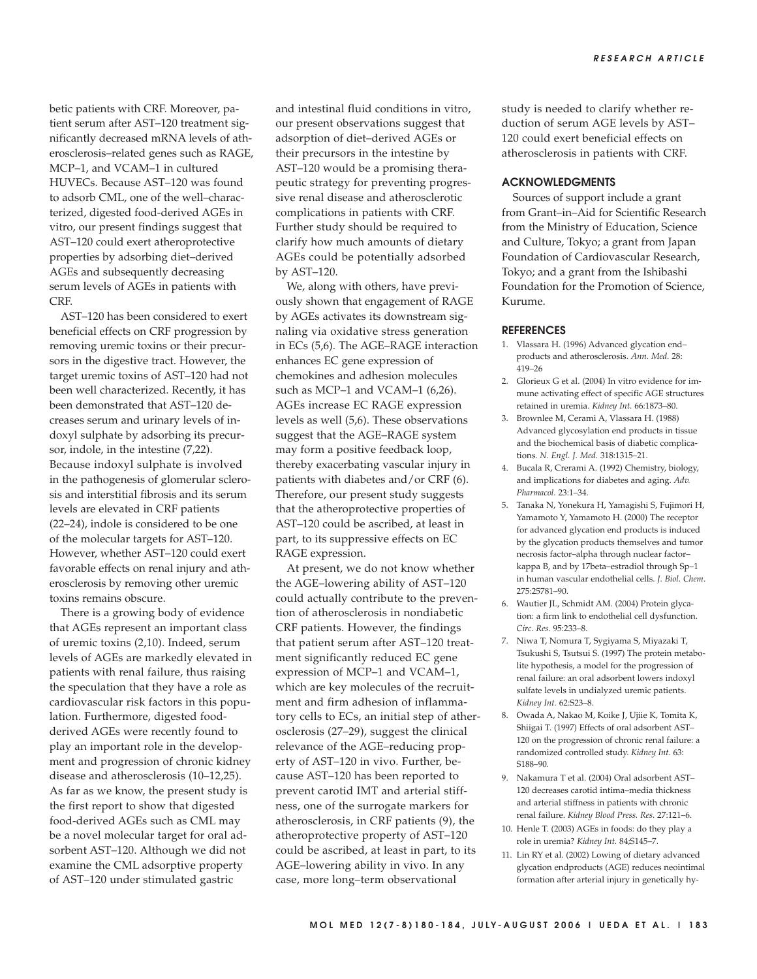betic patients with CRF. Moreover, patient serum after AST–120 treatment significantly decreased mRNA levels of atherosclerosis–related genes such as RAGE, MCP–1, and VCAM–1 in cultured HUVECs. Because AST–120 was found to adsorb CML, one of the well–characterized, digested food-derived AGEs in vitro, our present findings suggest that AST–120 could exert atheroprotective properties by adsorbing diet–derived AGEs and subsequently decreasing serum levels of AGEs in patients with CRF.

AST–120 has been considered to exert beneficial effects on CRF progression by removing uremic toxins or their precursors in the digestive tract. However, the target uremic toxins of AST–120 had not been well characterized. Recently, it has been demonstrated that AST–120 decreases serum and urinary levels of indoxyl sulphate by adsorbing its precursor, indole, in the intestine (7,22). Because indoxyl sulphate is involved in the pathogenesis of glomerular sclerosis and interstitial fibrosis and its serum levels are elevated in CRF patients (22–24), indole is considered to be one of the molecular targets for AST–120. However, whether AST–120 could exert favorable effects on renal injury and atherosclerosis by removing other uremic toxins remains obscure.

There is a growing body of evidence that AGEs represent an important class of uremic toxins (2,10). Indeed, serum levels of AGEs are markedly elevated in patients with renal failure, thus raising the speculation that they have a role as cardiovascular risk factors in this population. Furthermore, digested foodderived AGEs were recently found to play an important role in the development and progression of chronic kidney disease and atherosclerosis (10–12,25). As far as we know, the present study is the first report to show that digested food-derived AGEs such as CML may be a novel molecular target for oral adsorbent AST–120. Although we did not examine the CML adsorptive property of AST–120 under stimulated gastric

and intestinal fluid conditions in vitro, our present observations suggest that adsorption of diet–derived AGEs or their precursors in the intestine by AST–120 would be a promising therapeutic strategy for preventing progressive renal disease and atherosclerotic complications in patients with CRF. Further study should be required to clarify how much amounts of dietary AGEs could be potentially adsorbed by AST–120.

We, along with others, have previously shown that engagement of RAGE by AGEs activates its downstream signaling via oxidative stress generation in ECs (5,6). The AGE–RAGE interaction enhances EC gene expression of chemokines and adhesion molecules such as MCP-1 and VCAM-1 (6,26). AGEs increase EC RAGE expression levels as well (5,6). These observations suggest that the AGE–RAGE system may form a positive feedback loop, thereby exacerbating vascular injury in patients with diabetes and/or CRF (6). Therefore, our present study suggests that the atheroprotective properties of AST–120 could be ascribed, at least in part, to its suppressive effects on EC RAGE expression.

At present, we do not know whether the AGE–lowering ability of AST–120 could actually contribute to the prevention of atherosclerosis in nondiabetic CRF patients. However, the findings that patient serum after AST–120 treatment significantly reduced EC gene expression of MCP–1 and VCAM–1, which are key molecules of the recruitment and firm adhesion of inflammatory cells to ECs, an initial step of atherosclerosis (27–29), suggest the clinical relevance of the AGE–reducing property of AST–120 in vivo. Further, because AST–120 has been reported to prevent carotid IMT and arterial stiffness, one of the surrogate markers for atherosclerosis, in CRF patients (9), the atheroprotective property of AST–120 could be ascribed, at least in part, to its AGE–lowering ability in vivo. In any case, more long–term observational

study is needed to clarify whether reduction of serum AGE levels by AST– 120 could exert beneficial effects on atherosclerosis in patients with CRF.

#### **ACKNOWLEDGMENTS**

Sources of support include a grant from Grant–in–Aid for Scientific Research from the Ministry of Education, Science and Culture, Tokyo; a grant from Japan Foundation of Cardiovascular Research, Tokyo; and a grant from the Ishibashi Foundation for the Promotion of Science, Kurume.

#### **REFERENCES**

- 1. Vlassara H. (1996) Advanced glycation end– products and atherosclerosis. *Ann. Med.* 28: 419–26
- 2. Glorieux G et al. (2004) In vitro evidence for immune activating effect of specific AGE structures retained in uremia. *Kidney Int.* 66:1873–80.
- 3. Brownlee M, Cerami A, Vlassara H. (1988) Advanced glycosylation end products in tissue and the biochemical basis of diabetic complications. *N. Engl. J. Med.* 318:1315–21.
- 4. Bucala R, Crerami A. (1992) Chemistry, biology, and implications for diabetes and aging. *Adv. Pharmacol.* 23:1–34.
- 5. Tanaka N, Yonekura H, Yamagishi S, Fujimori H, Yamamoto Y, Yamamoto H. (2000) The receptor for advanced glycation end products is induced by the glycation products themselves and tumor necrosis factor–alpha through nuclear factor– kappa B, and by 17beta–estradiol through Sp–1 in human vascular endothelial cells. *J. Biol. Chem*. 275:25781–90.
- 6. Wautier JL, Schmidt AM. (2004) Protein glycation: a firm link to endothelial cell dysfunction. *Circ. Res.* 95:233–8.
- 7. Niwa T, Nomura T, Sygiyama S, Miyazaki T, Tsukushi S, Tsutsui S. (1997) The protein metabolite hypothesis, a model for the progression of renal failure: an oral adsorbent lowers indoxyl sulfate levels in undialyzed uremic patients. *Kidney Int.* 62:S23–8.
- 8. Owada A, Nakao M, Koike J, Ujiie K, Tomita K, Shiigai T. (1997) Effects of oral adsorbent AST– 120 on the progression of chronic renal failure: a randomized controlled study. *Kidney Int.* 63: S188–90.
- 9. Nakamura T et al. (2004) Oral adsorbent AST– 120 decreases carotid intima–media thickness and arterial stiffness in patients with chronic renal failure. *Kidney Blood Press. Res.* 27:121–6.
- 10. Henle T. (2003) AGEs in foods: do they play a role in uremia? *Kidney Int.* 84;S145–7.
- 11. Lin RY et al. (2002) Lowing of dietary advanced glycation endproducts (AGE) reduces neointimal formation after arterial injury in genetically hy-